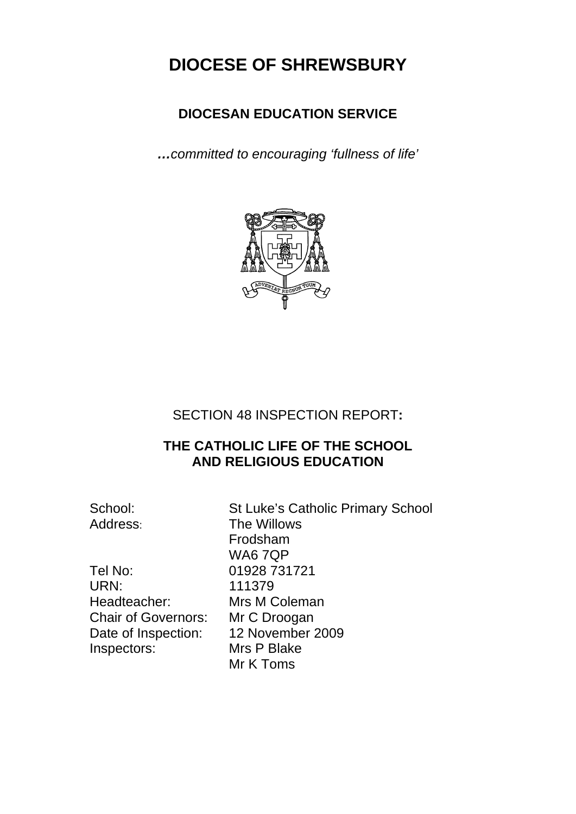# **DIOCESE OF SHREWSBURY**

## **DIOCESAN EDUCATION SERVICE**

*…committed to encouraging 'fullness of life'* 



### SECTION 48 INSPECTION REPORT**:**

### **THE CATHOLIC LIFE OF THE SCHOOL AND RELIGIOUS EDUCATION**

Tel No: 01928 731721 URN: 111379 Headteacher: Mrs M Coleman Chair of Governors: Mr C Droogan Date of Inspection: 12 November 2009 Inspectors: Mrs P Blake

School: St Luke's Catholic Primary School Address: The Willows Frodsham WA6 7QP Mr K Toms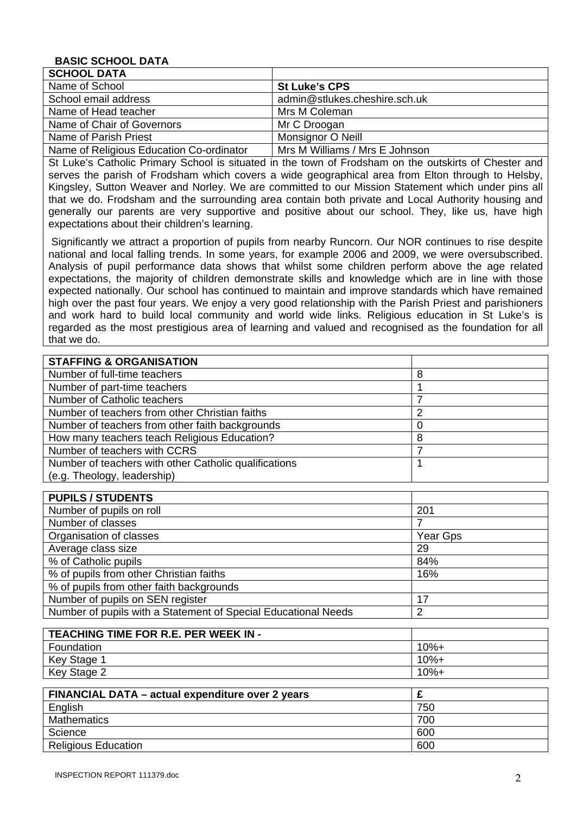#### **BASIC SCHOOL DATA**

| <b>SCHOOL DATA</b>                       |                                |
|------------------------------------------|--------------------------------|
| Name of School                           | <b>St Luke's CPS</b>           |
| School email address                     | admin@stlukes.cheshire.sch.uk  |
| Name of Head teacher                     | Mrs M Coleman                  |
| Name of Chair of Governors               | Mr C Droogan                   |
| Name of Parish Priest                    | Monsignor O Neill              |
| Name of Religious Education Co-ordinator | Mrs M Williams / Mrs E Johnson |

St Luke's Catholic Primary School is situated in the town of Frodsham on the outskirts of Chester and serves the parish of Frodsham which covers a wide geographical area from Elton through to Helsby, Kingsley, Sutton Weaver and Norley. We are committed to our Mission Statement which under pins all that we do. Frodsham and the surrounding area contain both private and Local Authority housing and generally our parents are very supportive and positive about our school. They, like us, have high expectations about their children's learning.

 Significantly we attract a proportion of pupils from nearby Runcorn. Our NOR continues to rise despite national and local falling trends. In some years, for example 2006 and 2009, we were oversubscribed. Analysis of pupil performance data shows that whilst some children perform above the age related expectations, the majority of children demonstrate skills and knowledge which are in line with those expected nationally. Our school has continued to maintain and improve standards which have remained high over the past four years. We enjoy a very good relationship with the Parish Priest and parishioners and work hard to build local community and world wide links. Religious education in St Luke's is regarded as the most prestigious area of learning and valued and recognised as the foundation for all that we do.

| <b>STAFFING &amp; ORGANISATION</b>                    |     |  |
|-------------------------------------------------------|-----|--|
| Number of full-time teachers                          | 8   |  |
| Number of part-time teachers                          |     |  |
| Number of Catholic teachers                           |     |  |
| Number of teachers from other Christian faiths        | າ   |  |
| Number of teachers from other faith backgrounds       |     |  |
| How many teachers teach Religious Education?          | 8   |  |
| Number of teachers with CCRS                          |     |  |
| Number of teachers with other Catholic qualifications |     |  |
| (e.g. Theology, leadership)                           |     |  |
|                                                       |     |  |
| <b>PUPILS / STUDENTS</b>                              |     |  |
| Number of pupilo on roll                              | 201 |  |

| Number of pupils on roll                                       | 201      |
|----------------------------------------------------------------|----------|
| Number of classes                                              |          |
| Organisation of classes                                        | Year Gps |
| Average class size                                             | 29       |
| % of Catholic pupils                                           | 84%      |
| % of pupils from other Christian faiths                        | 16%      |
| % of pupils from other faith backgrounds                       |          |
| Number of pupils on SEN register                               | 17       |
| Number of pupils with a Statement of Special Educational Needs | 2        |

| TEACHING TIME FOR R.E. PER WEEK IN - |         |
|--------------------------------------|---------|
| Foundation                           | $10% +$ |
| Key Stage 1                          | $10% +$ |
| Key Stage 2                          | 10%+    |

| FINANCIAL DATA - actual expenditure over 2 years |     |
|--------------------------------------------------|-----|
| English                                          | 750 |
| <b>Mathematics</b>                               | 700 |
| Science                                          | 600 |
| <b>Religious Education</b>                       | 600 |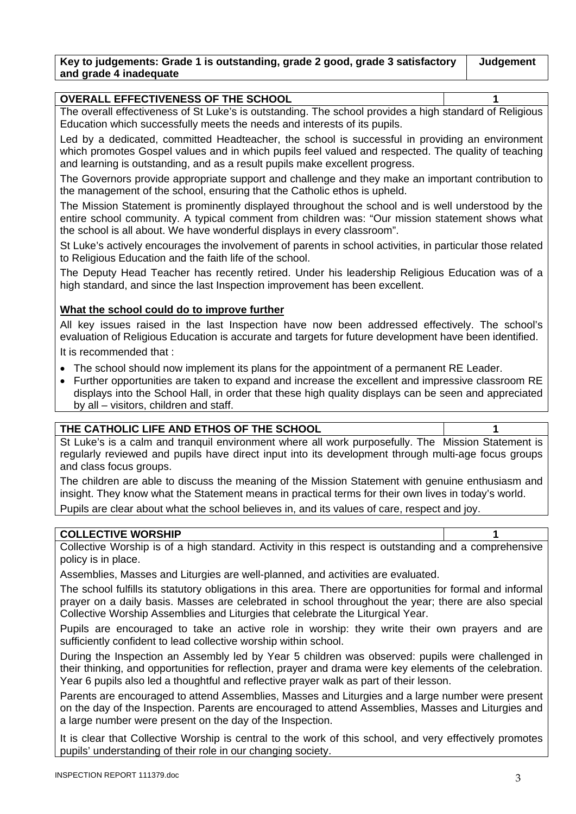| Key to judgements: Grade 1 is outstanding, grade 2 good, grade 3 satisfactory | Judgement |
|-------------------------------------------------------------------------------|-----------|
| and grade 4 inadequate                                                        |           |

#### **OVERALL EFFECTIVENESS OF THE SCHOOL 1**

The overall effectiveness of St Luke's is outstanding. The school provides a high standard of Religious Education which successfully meets the needs and interests of its pupils.

Led by a dedicated, committed Headteacher, the school is successful in providing an environment which promotes Gospel values and in which pupils feel valued and respected. The quality of teaching and learning is outstanding, and as a result pupils make excellent progress.

The Governors provide appropriate support and challenge and they make an important contribution to the management of the school, ensuring that the Catholic ethos is upheld.

The Mission Statement is prominently displayed throughout the school and is well understood by the entire school community. A typical comment from children was: "Our mission statement shows what the school is all about. We have wonderful displays in every classroom".

St Luke's actively encourages the involvement of parents in school activities, in particular those related to Religious Education and the faith life of the school.

The Deputy Head Teacher has recently retired. Under his leadership Religious Education was of a high standard, and since the last Inspection improvement has been excellent.

#### **What the school could do to improve further**

All key issues raised in the last Inspection have now been addressed effectively. The school's evaluation of Religious Education is accurate and targets for future development have been identified.

It is recommended that :

- The school should now implement its plans for the appointment of a permanent RE Leader.
- Further opportunities are taken to expand and increase the excellent and impressive classroom RE displays into the School Hall, in order that these high quality displays can be seen and appreciated by all – visitors, children and staff.

| THE CATHOLIC LIFE AND ETHOS OF THE SCHOOL |  |
|-------------------------------------------|--|
|                                           |  |

St Luke's is a calm and tranquil environment where all work purposefully. The Mission Statement is regularly reviewed and pupils have direct input into its development through multi-age focus groups and class focus groups.

The children are able to discuss the meaning of the Mission Statement with genuine enthusiasm and insight. They know what the Statement means in practical terms for their own lives in today's world.

Pupils are clear about what the school believes in, and its values of care, respect and joy.

#### **COLLECTIVE WORSHIP**

Collective Worship is of a high standard. Activity in this respect is outstanding and a comprehensive policy is in place.

Assemblies, Masses and Liturgies are well-planned, and activities are evaluated.

The school fulfills its statutory obligations in this area. There are opportunities for formal and informal prayer on a daily basis. Masses are celebrated in school throughout the year; there are also special Collective Worship Assemblies and Liturgies that celebrate the Liturgical Year.

Pupils are encouraged to take an active role in worship: they write their own prayers and are sufficiently confident to lead collective worship within school.

During the Inspection an Assembly led by Year 5 children was observed: pupils were challenged in their thinking, and opportunities for reflection, prayer and drama were key elements of the celebration. Year 6 pupils also led a thoughtful and reflective prayer walk as part of their lesson.

Parents are encouraged to attend Assemblies, Masses and Liturgies and a large number were present on the day of the Inspection. Parents are encouraged to attend Assemblies, Masses and Liturgies and a large number were present on the day of the Inspection.

It is clear that Collective Worship is central to the work of this school, and very effectively promotes pupils' understanding of their role in our changing society.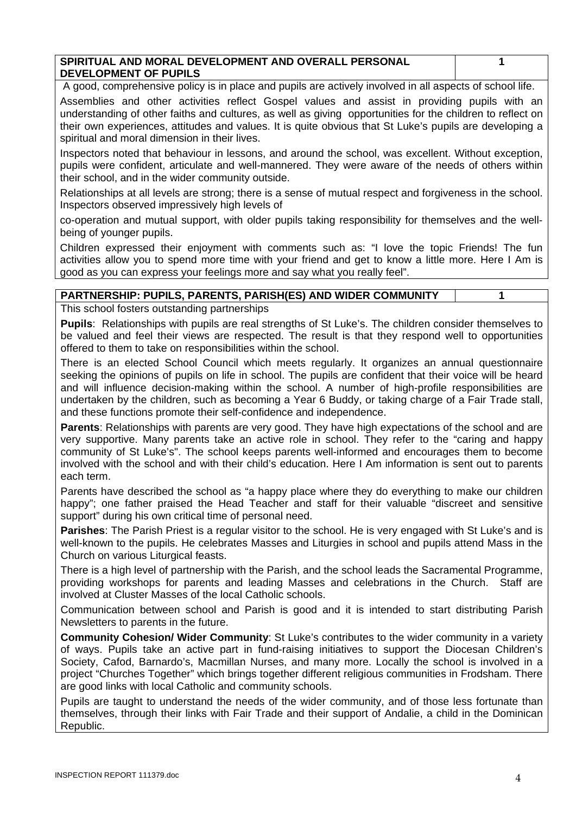| SPIRITUAL AND MORAL DEVELOPMENT AND OVERALL PERSONAL |  |
|------------------------------------------------------|--|
| <b>DEVELOPMENT OF PUPILS</b>                         |  |

A good, comprehensive policy is in place and pupils are actively involved in all aspects of school life.

Assemblies and other activities reflect Gospel values and assist in providing pupils with an understanding of other faiths and cultures, as well as giving opportunities for the children to reflect on their own experiences, attitudes and values. It is quite obvious that St Luke's pupils are developing a spiritual and moral dimension in their lives.

Inspectors noted that behaviour in lessons, and around the school, was excellent. Without exception, pupils were confident, articulate and well-mannered. They were aware of the needs of others within their school, and in the wider community outside.

Relationships at all levels are strong; there is a sense of mutual respect and forgiveness in the school. Inspectors observed impressively high levels of

co-operation and mutual support, with older pupils taking responsibility for themselves and the wellbeing of younger pupils.

Children expressed their enjoyment with comments such as: "I love the topic Friends! The fun activities allow you to spend more time with your friend and get to know a little more. Here I Am is good as you can express your feelings more and say what you really feel".

#### **PARTNERSHIP: PUPILS, PARENTS, PARISH(ES) AND WIDER COMMUNITY 1**

This school fosters outstanding partnerships

**Pupils**: Relationships with pupils are real strengths of St Luke's. The children consider themselves to be valued and feel their views are respected. The result is that they respond well to opportunities offered to them to take on responsibilities within the school.

There is an elected School Council which meets regularly. It organizes an annual questionnaire seeking the opinions of pupils on life in school. The pupils are confident that their voice will be heard and will influence decision-making within the school. A number of high-profile responsibilities are undertaken by the children, such as becoming a Year 6 Buddy, or taking charge of a Fair Trade stall, and these functions promote their self-confidence and independence.

**Parents**: Relationships with parents are very good. They have high expectations of the school and are very supportive. Many parents take an active role in school. They refer to the "caring and happy community of St Luke's". The school keeps parents well-informed and encourages them to become involved with the school and with their child's education. Here I Am information is sent out to parents each term.

Parents have described the school as "a happy place where they do everything to make our children happy"; one father praised the Head Teacher and staff for their valuable "discreet and sensitive support" during his own critical time of personal need.

**Parishes**: The Parish Priest is a regular visitor to the school. He is very engaged with St Luke's and is well-known to the pupils. He celebrates Masses and Liturgies in school and pupils attend Mass in the Church on various Liturgical feasts.

There is a high level of partnership with the Parish, and the school leads the Sacramental Programme, providing workshops for parents and leading Masses and celebrations in the Church. Staff are involved at Cluster Masses of the local Catholic schools.

Communication between school and Parish is good and it is intended to start distributing Parish Newsletters to parents in the future.

**Community Cohesion/ Wider Community**: St Luke's contributes to the wider community in a variety of ways. Pupils take an active part in fund-raising initiatives to support the Diocesan Children's Society, Cafod, Barnardo's, Macmillan Nurses, and many more. Locally the school is involved in a project "Churches Together" which brings together different religious communities in Frodsham. There are good links with local Catholic and community schools.

Pupils are taught to understand the needs of the wider community, and of those less fortunate than themselves, through their links with Fair Trade and their support of Andalie, a child in the Dominican Republic.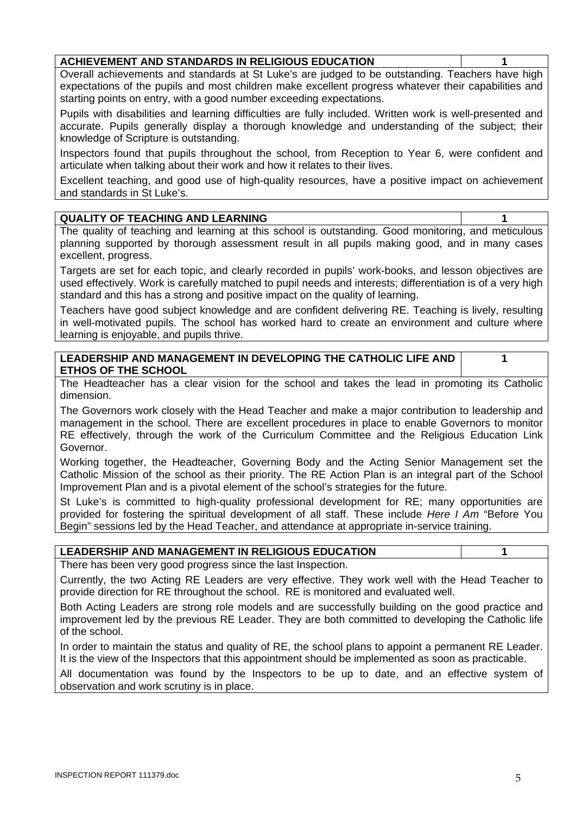### **ACHIEVEMENT AND STANDARDS IN RELIGIOUS EDUCATION 1**

Overall achievements and standards at St Luke's are judged to be outstanding. Teachers have high expectations of the pupils and most children make excellent progress whatever their capabilities and starting points on entry, with a good number exceeding expectations.

Pupils with disabilities and learning difficulties are fully included. Written work is well-presented and accurate. Pupils generally display a thorough knowledge and understanding of the subject; their knowledge of Scripture is outstanding.

Inspectors found that pupils throughout the school, from Reception to Year 6, were confident and articulate when talking about their work and how it relates to their lives.

Excellent teaching, and good use of high-quality resources, have a positive impact on achievement and standards in St Luke's.

#### **QUALITY OF TEACHING AND LEARNING 1**

The quality of teaching and learning at this school is outstanding. Good monitoring, and meticulous planning supported by thorough assessment result in all pupils making good, and in many cases excellent, progress.

Targets are set for each topic, and clearly recorded in pupils' work-books, and lesson objectives are used effectively. Work is carefully matched to pupil needs and interests; differentiation is of a very high standard and this has a strong and positive impact on the quality of learning.

Teachers have good subject knowledge and are confident delivering RE. Teaching is lively, resulting in well-motivated pupils. The school has worked hard to create an environment and culture where learning is enjoyable, and pupils thrive.

| LEADERSHIP AND MANAGEMENT IN DEVELOPING THE CATHOLIC LIFE AND |  |
|---------------------------------------------------------------|--|
| <b>ETHOS OF THE SCHOOL</b>                                    |  |

The Headteacher has a clear vision for the school and takes the lead in promoting its Catholic dimension.

The Governors work closely with the Head Teacher and make a major contribution to leadership and management in the school. There are excellent procedures in place to enable Governors to monitor RE effectively, through the work of the Curriculum Committee and the Religious Education Link Governor.

Working together, the Headteacher, Governing Body and the Acting Senior Management set the Catholic Mission of the school as their priority. The RE Action Plan is an integral part of the School Improvement Plan and is a pivotal element of the school's strategies for the future.

St Luke's is committed to high-quality professional development for RE; many opportunities are provided for fostering the spiritual development of all staff. These include *Here I Am* "Before You Begin" sessions led by the Head Teacher, and attendance at appropriate in-service training.

#### **LEADERSHIP AND MANAGEMENT IN RELIGIOUS EDUCATION 1**

There has been very good progress since the last Inspection.

Currently, the two Acting RE Leaders are very effective. They work well with the Head Teacher to provide direction for RE throughout the school. RE is monitored and evaluated well.

Both Acting Leaders are strong role models and are successfully building on the good practice and improvement led by the previous RE Leader. They are both committed to developing the Catholic life of the school.

In order to maintain the status and quality of RE, the school plans to appoint a permanent RE Leader. It is the view of the Inspectors that this appointment should be implemented as soon as practicable.

All documentation was found by the Inspectors to be up to date, and an effective system of observation and work scrutiny is in place.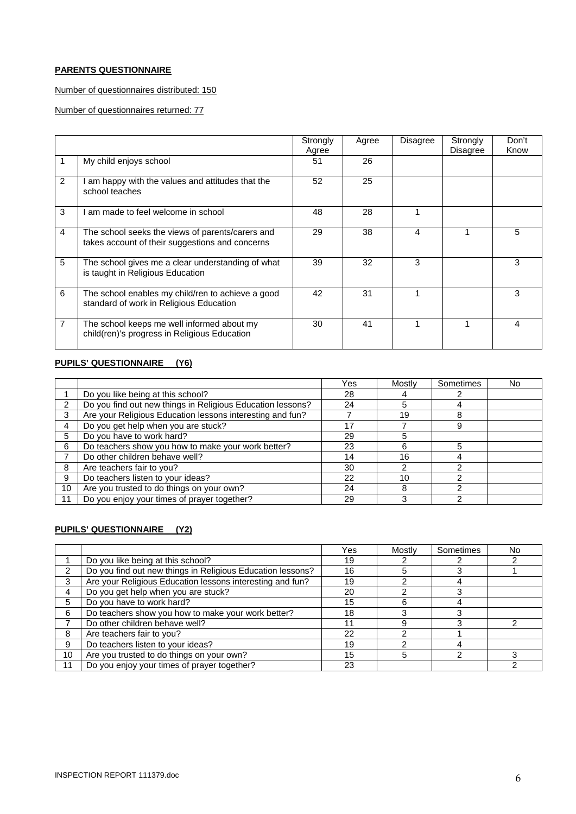#### **PARENTS QUESTIONNAIRE**

#### Number of questionnaires distributed: 150

Number of questionnaires returned: 77

|                |                                                                                                     | Strongly<br>Agree | Agree | Disagree | Strongly<br><b>Disagree</b> | Don't<br>Know |
|----------------|-----------------------------------------------------------------------------------------------------|-------------------|-------|----------|-----------------------------|---------------|
|                | My child enjoys school                                                                              | 51                | 26    |          |                             |               |
| $\mathfrak{p}$ | am happy with the values and attitudes that the<br>school teaches                                   | 52                | 25    |          |                             |               |
| 3              | am made to feel welcome in school                                                                   | 48                | 28    |          |                             |               |
| 4              | The school seeks the views of parents/carers and<br>takes account of their suggestions and concerns | 29                | 38    | 4        |                             | 5             |
| 5              | The school gives me a clear understanding of what<br>is taught in Religious Education               | 39                | 32    | 3        |                             | 3             |
| 6              | The school enables my child/ren to achieve a good<br>standard of work in Religious Education        | 42                | 31    | 1        |                             | 3             |
| 7              | The school keeps me well informed about my<br>child(ren)'s progress in Religious Education          | 30                | 41    |          |                             | 4             |

#### **PUPILS' QUESTIONNAIRE (Y6)**

|                |                                                            | Yes | Mostly | Sometimes | No. |
|----------------|------------------------------------------------------------|-----|--------|-----------|-----|
|                | Do you like being at this school?                          | 28  |        |           |     |
| $\overline{2}$ | Do you find out new things in Religious Education lessons? | 24  | 5      |           |     |
| 3              | Are your Religious Education lessons interesting and fun?  |     | 19     | 8         |     |
| $\overline{4}$ | Do you get help when you are stuck?                        |     |        | 9         |     |
| 5              | Do you have to work hard?                                  | 29  |        |           |     |
| 6              | Do teachers show you how to make your work better?         | 23  |        | 5         |     |
|                | Do other children behave well?                             | 14  | 16     |           |     |
| 8              | Are teachers fair to you?                                  | 30  |        |           |     |
| 9              | Do teachers listen to your ideas?                          | 22  | 10     |           |     |
| 10             | Are you trusted to do things on your own?                  | 24  |        |           |     |
| 11             | Do you enjoy your times of prayer together?                | 29  |        |           |     |

#### **PUPILS' QUESTIONNAIRE (Y2)**

|    |                                                            | Yes | Mostly | Sometimes | No |
|----|------------------------------------------------------------|-----|--------|-----------|----|
|    | Do you like being at this school?                          | 19  |        |           |    |
| 2  | Do you find out new things in Religious Education lessons? | 16  | 5      |           |    |
| 3  | Are your Religious Education lessons interesting and fun?  | 19  |        |           |    |
| 4  | Do you get help when you are stuck?                        | 20  |        |           |    |
| 5  | Do you have to work hard?                                  | 15  |        |           |    |
| 6  | Do teachers show you how to make your work better?         | 18  |        |           |    |
|    | Do other children behave well?                             | 11  | 9      |           |    |
| 8  | Are teachers fair to you?                                  | 22  |        |           |    |
| 9  | Do teachers listen to your ideas?                          | 19  |        |           |    |
| 10 | Are you trusted to do things on your own?                  | 15  | 5      | ⌒         |    |
| 11 | Do you enjoy your times of prayer together?                | 23  |        |           |    |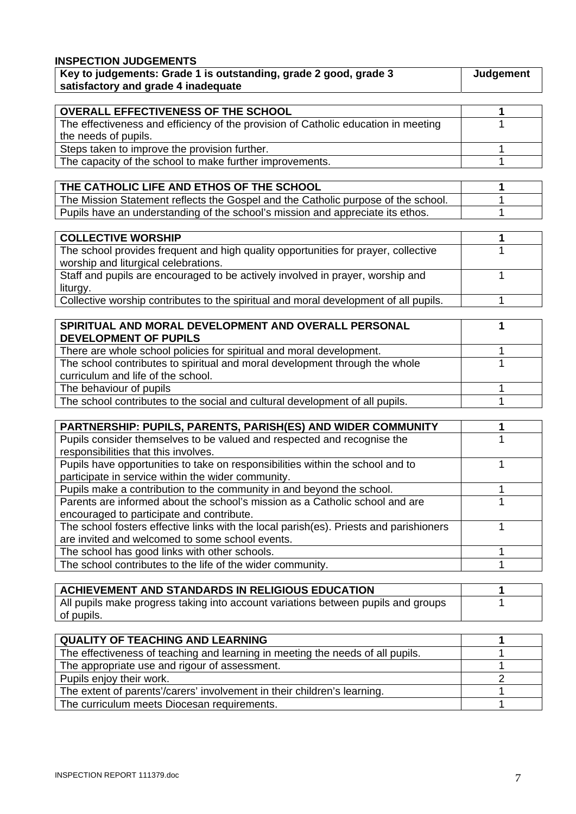| <b>INSPECTION JUDGEMENTS</b>                                                                            |           |
|---------------------------------------------------------------------------------------------------------|-----------|
| Key to judgements: Grade 1 is outstanding, grade 2 good, grade 3<br>satisfactory and grade 4 inadequate | Judgement |
|                                                                                                         |           |

| <b>OVERALL EFFECTIVENESS OF THE SCHOOL</b>                                         |  |
|------------------------------------------------------------------------------------|--|
| The effectiveness and efficiency of the provision of Catholic education in meeting |  |
| the needs of pupils.                                                               |  |
| Steps taken to improve the provision further.                                      |  |
| The capacity of the school to make further improvements.                           |  |

| THE CATHOLIC LIFE AND ETHOS OF THE SCHOOL                                         |  |
|-----------------------------------------------------------------------------------|--|
| The Mission Statement reflects the Gospel and the Catholic purpose of the school. |  |
| Pupils have an understanding of the school's mission and appreciate its ethos.    |  |

| <b>COLLECTIVE WORSHIP</b>                                                            |  |
|--------------------------------------------------------------------------------------|--|
| The school provides frequent and high quality opportunities for prayer, collective   |  |
| worship and liturgical celebrations.                                                 |  |
| Staff and pupils are encouraged to be actively involved in prayer, worship and       |  |
| liturgy.                                                                             |  |
| Collective worship contributes to the spiritual and moral development of all pupils. |  |

| SPIRITUAL AND MORAL DEVELOPMENT AND OVERALL PERSONAL                         |  |
|------------------------------------------------------------------------------|--|
| <b>DEVELOPMENT OF PUPILS</b>                                                 |  |
| There are whole school policies for spiritual and moral development.         |  |
| The school contributes to spiritual and moral development through the whole  |  |
| curriculum and life of the school.                                           |  |
| The behaviour of pupils                                                      |  |
| The school contributes to the social and cultural development of all pupils. |  |

| <b>PARTNERSHIP: PUPILS, PARENTS, PARISH(ES) AND WIDER COMMUNITY</b>                    |  |
|----------------------------------------------------------------------------------------|--|
| Pupils consider themselves to be valued and respected and recognise the                |  |
| responsibilities that this involves.                                                   |  |
| Pupils have opportunities to take on responsibilities within the school and to         |  |
| participate in service within the wider community.                                     |  |
| Pupils make a contribution to the community in and beyond the school.                  |  |
| Parents are informed about the school's mission as a Catholic school and are           |  |
| encouraged to participate and contribute.                                              |  |
| The school fosters effective links with the local parish(es). Priests and parishioners |  |
| are invited and welcomed to some school events.                                        |  |
| The school has good links with other schools.                                          |  |
| The school contributes to the life of the wider community.                             |  |

| ACHIEVEMENT AND STANDARDS IN RELIGIOUS EDUCATION                                  |  |
|-----------------------------------------------------------------------------------|--|
| All pupils make progress taking into account variations between pupils and groups |  |
| of pupils.                                                                        |  |

| <b>QUALITY OF TEACHING AND LEARNING</b>                                        |  |
|--------------------------------------------------------------------------------|--|
| The effectiveness of teaching and learning in meeting the needs of all pupils. |  |
| The appropriate use and rigour of assessment.                                  |  |
| Pupils enjoy their work.                                                       |  |
| The extent of parents'/carers' involvement in their children's learning.       |  |
| The curriculum meets Diocesan requirements.                                    |  |